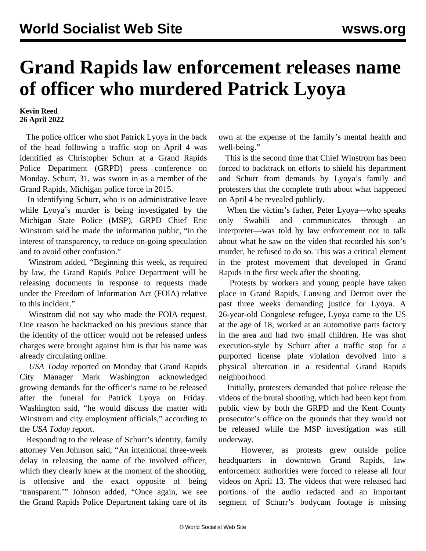## **Grand Rapids law enforcement releases name of officer who murdered Patrick Lyoya**

## **Kevin Reed 26 April 2022**

 The police officer who shot Patrick Lyoya in the back of the head following a traffic stop on April 4 was identified as Christopher Schurr at a Grand Rapids Police Department (GRPD) press conference on Monday. Schurr, 31, was sworn in as a member of the Grand Rapids, Michigan police force in 2015.

 In identifying Schurr, who is on administrative leave while Lyoya's murder is being investigated by the Michigan State Police (MSP), GRPD Chief Eric Winstrom said he made the information public, "in the interest of transparency, to reduce on-going speculation and to avoid other confusion."

 Winstrom added, "Beginning this week, as required by law, the Grand Rapids Police Department will be releasing documents in response to requests made under the Freedom of Information Act (FOIA) relative to this incident."

 Winstrom did not say who made the FOIA request. One reason he backtracked on his previous stance that the identity of the officer would not be released unless charges were brought against him is that his name was already circulating online.

 *USA Today* reported on Monday that Grand Rapids City Manager Mark Washington acknowledged growing demands for the officer's name to be released after the funeral for Patrick Lyoya on Friday. Washington said, "he would discuss the matter with Winstrom and city employment officials," according to the *USA Today* report.

 Responding to the release of Schurr's identity, family attorney Ven Johnson said, "An intentional three-week delay in releasing the name of the involved officer, which they clearly knew at the moment of the shooting, is offensive and the exact opposite of being 'transparent.'" Johnson added, "Once again, we see the Grand Rapids Police Department taking care of its own at the expense of the family's mental health and well-being."

 This is the second time that Chief Winstrom has been forced to backtrack on efforts to shield his department and Schurr from demands by Lyoya's family and protesters that the complete truth about what happened on April 4 be revealed publicly.

 When the victim's father, Peter Lyoya—who speaks only Swahili and communicates through an interpreter—was told by law enforcement not to talk about what he saw on the video that recorded his son's murder, he refused to do so. This was a critical element in the protest movement that developed in Grand Rapids in the first week after the shooting.

 Protests by workers and young people have taken place in Grand Rapids, Lansing and Detroit over the past three weeks demanding justice for Lyoya. A 26-year-old Congolese refugee, Lyoya came to the US at the age of 18, worked at an automotive parts factory in the area and had two small children. He was shot execution-style by Schurr after a traffic stop for a purported license plate violation devolved into a physical altercation in a residential Grand Rapids neighborhood.

 Initially, protesters demanded that police release the videos of the brutal shooting, which had been kept from public view by both the GRPD and the Kent County prosecutor's office on the grounds that they would not be released while the MSP investigation was still underway.

 However, as protests grew outside police headquarters in downtown Grand Rapids, law enforcement authorities were forced to release all four videos on April 13. The videos that were released had portions of the audio redacted and an important segment of Schurr's bodycam footage is missing